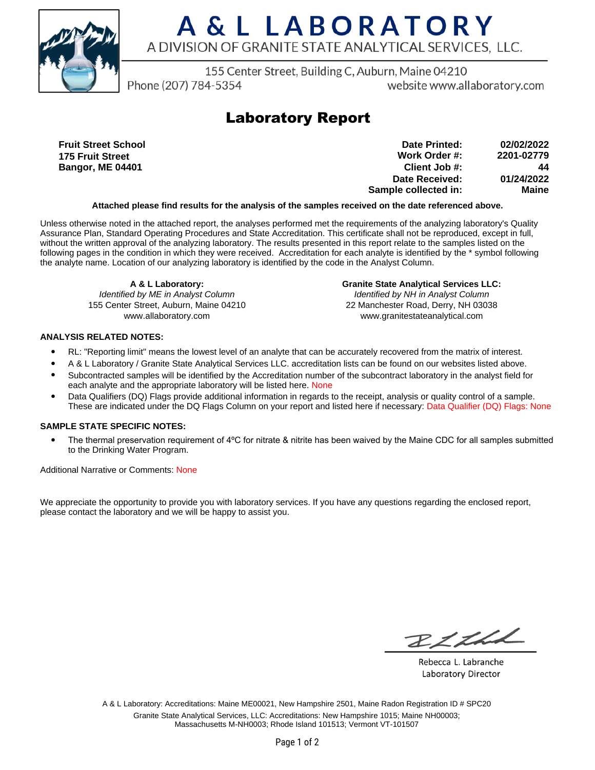

## A & L LABORATORY A DIVISION OF GRANITE STATE ANALYTICAL SERVICES, LLC.

155 Center Street, Building C, Auburn, Maine 04210

Phone (207) 784-5354

website www.allaboratory.com

### **Laboratory Report**

**Fruit Street School 175 Fruit Street Bangor, ME 04401**

**Work Order #: Client Job #: Date Received: Sample collected in: 2201-02779 44 01/24/2022 Maine Date Printed: 02/02/2022**

#### **Attached please find results for the analysis of the samples received on the date referenced above.**

Unless otherwise noted in the attached report, the analyses performed met the requirements of the analyzing laboratory's Quality Assurance Plan, Standard Operating Procedures and State Accreditation. This certificate shall not be reproduced, except in full, without the written approval of the analyzing laboratory. The results presented in this report relate to the samples listed on the following pages in the condition in which they were received. Accreditation for each analyte is identified by the \* symbol following the analyte name. Location of our analyzing laboratory is identified by the code in the Analyst Column.

**A & L Laboratory:** Identified by ME in Analyst Column 155 Center Street, Auburn, Maine 04210 www.allaboratory.com

**Granite State Analytical Services LLC:** Identified by NH in Analyst Column 22 Manchester Road, Derry, NH 03038 www.granitestateanalytical.com

#### **ANALYSIS RELATED NOTES:**

- RL: "Reporting limit" means the lowest level of an analyte that can be accurately recovered from the matrix of interest.
- A & L Laboratory / Granite State Analytical Services LLC. accreditation lists can be found on our websites listed above.
- Subcontracted samples will be identified by the Accreditation number of the subcontract laboratory in the analyst field for each analyte and the appropriate laboratory will be listed here. None
- Data Qualifiers (DQ) Flags provide additional information in regards to the receipt, analysis or quality control of a sample. These are indicated under the DQ Flags Column on your report and listed here if necessary: Data Qualifier (DQ) Flags: None

#### **SAMPLE STATE SPECIFIC NOTES:**

• The thermal preservation requirement of 4°C for nitrate & nitrite has been waived by the Maine CDC for all samples submitted to the Drinking Water Program.

Additional Narrative or Comments: None

We appreciate the opportunity to provide you with laboratory services. If you have any questions regarding the enclosed report, please contact the laboratory and we will be happy to assist you.

RICHL

Rebecca L. Labranche Laboratory Director

A & L Laboratory: Accreditations: Maine ME00021, New Hampshire 2501, Maine Radon Registration ID # SPC20 Granite State Analytical Services, LLC: Accreditations: New Hampshire 1015; Maine NH00003; Massachusetts M-NH0003; Rhode Island 101513; Vermont VT-101507